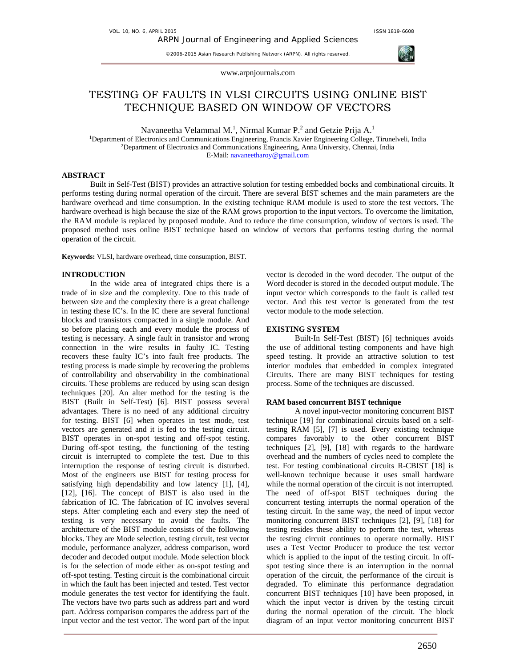©2006-2015 Asian Research Publishing Network (ARPN). All rights reserved.





www.arpnjournals.com

# TESTING OF FAULTS IN VLSI CIRCUITS USING ONLINE BIST TECHNIQUE BASED ON WINDOW OF VECTORS

Navaneetha Velammal M.<sup>1</sup>, Nirmal Kumar P.<sup>2</sup> and Getzie Prija A.<sup>1</sup>

<sup>1</sup>Department of Electronics and Communications Engineering, Francis Xavier Engineering College, Tirunelveli, India <sup>2</sup>Department of Electronics and Communications Engineering, Anna University, Chennai, India E-Mail: navaneetharoy@gmail.com

### **ABSTRACT**

Built in Self-Test (BIST) provides an attractive solution for testing embedded bocks and combinational circuits. It performs testing during normal operation of the circuit. There are several BIST schemes and the main parameters are the hardware overhead and time consumption. In the existing technique RAM module is used to store the test vectors. The hardware overhead is high because the size of the RAM grows proportion to the input vectors. To overcome the limitation, the RAM module is replaced by proposed module. And to reduce the time consumption, window of vectors is used. The proposed method uses online BIST technique based on window of vectors that performs testing during the normal operation of the circuit.

**Keywords:** VLSI, hardware overhead, time consumption, BIST.

# **INTRODUCTION**

In the wide area of integrated chips there is a trade of in size and the complexity. Due to this trade of between size and the complexity there is a great challenge in testing these IC's. In the IC there are several functional blocks and transistors compacted in a single module. And so before placing each and every module the process of testing is necessary. A single fault in transistor and wrong connection in the wire results in faulty IC. Testing recovers these faulty IC's into fault free products. The testing process is made simple by recovering the problems of controllability and observability in the combinational circuits. These problems are reduced by using scan design techniques [20]. An alter method for the testing is the BIST (Built in Self-Test) [6]. BIST possess several advantages. There is no need of any additional circuitry for testing. BIST [6] when operates in test mode, test vectors are generated and it is fed to the testing circuit. BIST operates in on-spot testing and off-spot testing. During off-spot testing, the functioning of the testing circuit is interrupted to complete the test. Due to this interruption the response of testing circuit is disturbed. Most of the engineers use BIST for testing process for satisfying high dependability and low latency [1], [4], [12], [16]. The concept of BIST is also used in the fabrication of IC. The fabrication of IC involves several steps. After completing each and every step the need of testing is very necessary to avoid the faults. The architecture of the BIST module consists of the following blocks. They are Mode selection, testing circuit, test vector module, performance analyzer, address comparison, word decoder and decoded output module. Mode selection block is for the selection of mode either as on-spot testing and off-spot testing. Testing circuit is the combinational circuit in which the fault has been injected and tested. Test vector module generates the test vector for identifying the fault. The vectors have two parts such as address part and word part. Address comparison compares the address part of the input vector and the test vector. The word part of the input vector is decoded in the word decoder. The output of the Word decoder is stored in the decoded output module. The input vector which corresponds to the fault is called test vector. And this test vector is generated from the test vector module to the mode selection.

# **EXISTING SYSTEM**

Built-In Self-Test (BIST) [6] techniques avoids the use of additional testing components and have high speed testing. It provide an attractive solution to test interior modules that embedded in complex integrated Circuits. There are many BIST techniques for testing process. Some of the techniques are discussed.

## **RAM based concurrent BIST technique**

A novel input-vector monitoring concurrent BIST technique [19] for combinational circuits based on a selftesting RAM [5], [7] is used. Every existing technique compares favorably to the other concurrent BIST techniques [2], [9], [18] with regards to the hardware overhead and the numbers of cycles need to complete the test. For testing combinational circuits R-CBIST [18] is well-known technique because it uses small hardware while the normal operation of the circuit is not interrupted. The need of off-spot BIST techniques during the concurrent testing interrupts the normal operation of the testing circuit. In the same way, the need of input vector monitoring concurrent BIST techniques [2], [9], [18] for testing resides these ability to perform the test, whereas the testing circuit continues to operate normally. BIST uses a Test Vector Producer to produce the test vector which is applied to the input of the testing circuit. In offspot testing since there is an interruption in the normal operation of the circuit, the performance of the circuit is degraded. To eliminate this performance degradation concurrent BIST techniques [10] have been proposed, in which the input vector is driven by the testing circuit during the normal operation of the circuit. The block diagram of an input vector monitoring concurrent BIST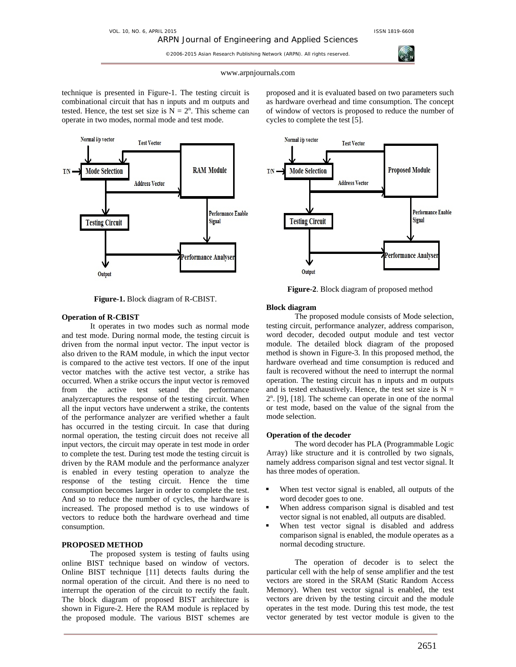ARPN Journal of Engineering and Applied Sciences ©2006-2015 Asian Research Publishing Network (ARPN). All rights reserved.



#### www.arpnjournals.com

technique is presented in Figure-1. The testing circuit is combinational circuit that has n inputs and m outputs and tested. Hence, the test set size is  $N = 2<sup>n</sup>$ . This scheme can operate in two modes, normal mode and test mode.



**Figure-1.** Block diagram of R-CBIST.

#### **Operation of R-CBIST**

It operates in two modes such as normal mode and test mode. During normal mode, the testing circuit is driven from the normal input vector. The input vector is also driven to the RAM module, in which the input vector is compared to the active test vectors. If one of the input vector matches with the active test vector, a strike has occurred. When a strike occurs the input vector is removed from the active test setand the performance analyzercaptures the response of the testing circuit. When all the input vectors have underwent a strike, the contents of the performance analyzer are verified whether a fault has occurred in the testing circuit. In case that during normal operation, the testing circuit does not receive all input vectors, the circuit may operate in test mode in order to complete the test. During test mode the testing circuit is driven by the RAM module and the performance analyzer is enabled in every testing operation to analyze the response of the testing circuit. Hence the time consumption becomes larger in order to complete the test. And so to reduce the number of cycles, the hardware is increased. The proposed method is to use windows of vectors to reduce both the hardware overhead and time consumption.

#### **PROPOSED METHOD**

The proposed system is testing of faults using online BIST technique based on window of vectors. Online BIST technique [11] detects faults during the normal operation of the circuit. And there is no need to interrupt the operation of the circuit to rectify the fault. The block diagram of proposed BIST architecture is shown in Figure-2. Here the RAM module is replaced by the proposed module. The various BIST schemes are

proposed and it is evaluated based on two parameters such as hardware overhead and time consumption. The concept of window of vectors is proposed to reduce the number of cycles to complete the test [5].



**Figure-2**. Block diagram of proposed method

#### **Block diagram**

The proposed module consists of Mode selection, testing circuit, performance analyzer, address comparison, word decoder, decoded output module and test vector module. The detailed block diagram of the proposed method is shown in Figure-3. In this proposed method, the hardware overhead and time consumption is reduced and fault is recovered without the need to interrupt the normal operation. The testing circuit has n inputs and m outputs and is tested exhaustively. Hence, the test set size is  $N =$ 2n . [9], [18]. The scheme can operate in one of the normal or test mode, based on the value of the signal from the mode selection.

## **Operation of the decoder**

 The word decoder has PLA (Programmable Logic Array) like structure and it is controlled by two signals, namely address comparison signal and test vector signal. It has three modes of operation.

- When test vector signal is enabled, all outputs of the word decoder goes to one.
- When address comparison signal is disabled and test vector signal is not enabled, all outputs are disabled.
- When test vector signal is disabled and address comparison signal is enabled, the module operates as a normal decoding structure.

 The operation of decoder is to select the particular cell with the help of sense amplifier and the test vectors are stored in the SRAM (Static Random Access Memory). When test vector signal is enabled, the test vectors are driven by the testing circuit and the module operates in the test mode. During this test mode, the test vector generated by test vector module is given to the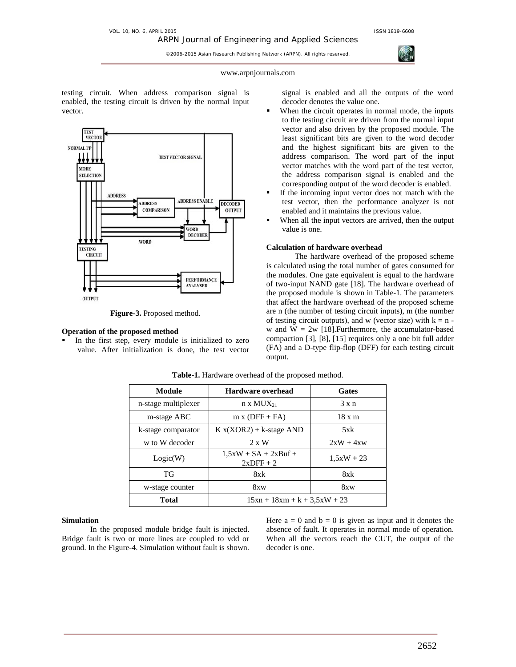©2006-2015 Asian Research Publishing Network (ARPN). All rights reserved.

#### www.arpnjournals.com

testing circuit. When address comparison signal is enabled, the testing circuit is driven by the normal input vector.



**Figure-3.** Proposed method.

#### **Operation of the proposed method**

 In the first step, every module is initialized to zero value. After initialization is done, the test vector signal is enabled and all the outputs of the word decoder denotes the value one.

- When the circuit operates in normal mode, the inputs to the testing circuit are driven from the normal input vector and also driven by the proposed module. The least significant bits are given to the word decoder and the highest significant bits are given to the address comparison. The word part of the input vector matches with the word part of the test vector, the address comparison signal is enabled and the corresponding output of the word decoder is enabled.
- If the incoming input vector does not match with the test vector, then the performance analyzer is not enabled and it maintains the previous value.
- When all the input vectors are arrived, then the output value is one.

## **Calculation of hardware overhead**

The hardware overhead of the proposed scheme is calculated using the total number of gates consumed for the modules. One gate equivalent is equal to the hardware of two-input NAND gate [18]. The hardware overhead of the proposed module is shown in Table-1. The parameters that affect the hardware overhead of the proposed scheme are n (the number of testing circuit inputs), m (the number of testing circuit outputs), and w (vector size) with  $k = n$ w and  $W = 2w$  [18]. Furthermore, the accumulator-based compaction [3], [8], [15] requires only a one bit full adder (FA) and a D-type flip-flop (DFF) for each testing circuit output.

| Module              | <b>Hardware overhead</b>               | <b>Gates</b>  |  |  |  |  |
|---------------------|----------------------------------------|---------------|--|--|--|--|
| n-stage multiplexer | $n \times MUX_{21}$                    | $3 \times n$  |  |  |  |  |
| m-stage ABC         | $m \times (DFF + FA)$                  | $18 \times m$ |  |  |  |  |
| k-stage comparator  | $K x(XOR2) + k$ -stage AND             | 5xk           |  |  |  |  |
| w to W decoder      | $2 \times W$                           | $2xW + 4xw$   |  |  |  |  |
| Logic(W)            | $1.5xW + SA + 2xBuf +$<br>$2x$ DFF + 2 | $1,5xW + 23$  |  |  |  |  |
| ТG                  | 8xk                                    | 8xk           |  |  |  |  |
| w-stage counter     | 8xw                                    | 8xw           |  |  |  |  |
| <b>Total</b>        | $15xn + 18xm + k + 3,5xW + 23$         |               |  |  |  |  |

**Table-1.** Hardware overhead of the proposed method.

# **Simulation**

In the proposed module bridge fault is injected. Bridge fault is two or more lines are coupled to vdd or ground. In the Figure-4. Simulation without fault is shown. Here  $a = 0$  and  $b = 0$  is given as input and it denotes the absence of fault. It operates in normal mode of operation. When all the vectors reach the CUT, the output of the decoder is one.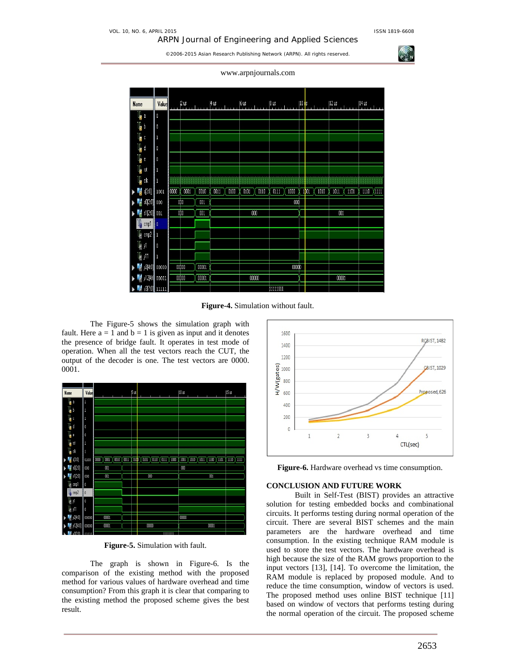ARPN Journal of Engineering and Applied Sciences

©2006-2015 Asian Research Publishing Network (ARPN). All rights reserved.

www.arpnjournals.com

| <b>Name</b>               | Value                        |                   | $\frac{2}{11}$ $\frac{2}{11}$ $\frac{1}{11}$ $\frac{1}{11}$ |       |      | $\frac{4}{3}$ us $\frac{1}{3}$ using $\frac{1}{3}$ | $6$ us |       | $\frac{8 \text{ us}}{2 \text{ mm} + \text{m}}$ |       |  | $ ^{10}$ is |      | $\left  \begin{smallmatrix} 12 & \text{us} \\ 1 & \text{us} \end{smallmatrix} \right $ |       | $\frac{14}{11}$ is $\frac{1}{11}$ |               |
|---------------------------|------------------------------|-------------------|-------------------------------------------------------------|-------|------|----------------------------------------------------|--------|-------|------------------------------------------------|-------|--|-------------|------|----------------------------------------------------------------------------------------|-------|-----------------------------------|---------------|
| ų,                        | $\pmb{0}$                    |                   |                                                             |       |      |                                                    |        |       |                                                |       |  |             |      |                                                                                        |       |                                   |               |
| l <mark>h</mark> b        | $\theta$                     |                   |                                                             |       |      |                                                    |        |       |                                                |       |  |             |      |                                                                                        |       |                                   |               |
| ų.                        | 1                            |                   |                                                             |       |      |                                                    |        |       |                                                |       |  |             |      |                                                                                        |       |                                   |               |
| l <mark>h</mark> d        | 0                            |                   |                                                             |       |      |                                                    |        |       |                                                |       |  |             |      |                                                                                        |       |                                   |               |
| l <mark>i</mark> e        | $\pmb{0}$                    |                   |                                                             |       |      |                                                    |        |       |                                                |       |  |             |      |                                                                                        |       |                                   |               |
| l <mark>⊩</mark> ist      | 1                            |                   |                                                             |       |      |                                                    |        |       |                                                |       |  |             |      |                                                                                        |       |                                   |               |
| T,<br>ck                  | 1                            |                   |                                                             |       |      |                                                    |        |       |                                                |       |  |             |      |                                                                                        |       |                                   |               |
| $s[3:0]$<br>H             | 1001                         | $\overline{0000}$ | 0001                                                        | 0010  | 0011 | 0100                                               | 0101   | 0110  | 0111                                           | 1000  |  | 1001        | 1010 | 1011                                                                                   | 1101  | 1110                              | $\sqrt{1111}$ |
| $\frac{1}{6}$ sO(2:0) 000 |                              |                   | obo                                                         | 001   |      |                                                    |        |       |                                                | 000   |  |             |      |                                                                                        |       |                                   |               |
| ó                         | $ s1[2:0] $ 001              | obo<br>001        |                                                             | 000   |      |                                                    |        |       |                                                |       |  | 001         |      |                                                                                        |       |                                   |               |
| Ų,<br>$\mathsf{cmp1}$     | I٥                           |                   |                                                             |       |      |                                                    |        |       |                                                |       |  |             |      |                                                                                        |       |                                   |               |
| $\mathbb{I}_c$<br>cmp2    | П                            |                   |                                                             |       |      |                                                    |        |       |                                                |       |  |             |      |                                                                                        |       |                                   |               |
| $\mathbb{I}_6$<br>yĺ      | $\pmb{0}$                    |                   |                                                             |       |      |                                                    |        |       |                                                |       |  |             |      |                                                                                        |       |                                   |               |
| l∥ y11                    | $\mathbf{l}$                 |                   |                                                             |       |      |                                                    |        |       |                                                |       |  |             |      |                                                                                        |       |                                   |               |
|                           | $  $ y2[4:0] 00000           |                   | 00b00                                                       | 00001 |      |                                                    |        |       |                                                | 00000 |  |             |      |                                                                                        |       |                                   |               |
|                           | $  $ y12[4:1] 00001 $  $     |                   | 00 <sub>D00</sub>                                           | 00001 |      |                                                    |        | 00000 |                                                |       |  |             |      |                                                                                        | 00001 |                                   |               |
|                           | <mark>M 037.01</mark> 11111. |                   |                                                             |       |      |                                                    |        |       | <b>MININ</b>                                   |       |  |             |      |                                                                                        |       |                                   |               |

**Figure-4.** Simulation without fault.

The Figure-5 shows the simulation graph with fault. Here  $a = 1$  and  $b = 1$  is given as input and it denotes the presence of bridge fault. It operates in test mode of operation. When all the test vectors reach the CUT, the output of the decoder is one. The test vectors are 0000. 0001.



**Figure-5.** Simulation with fault.

The graph is shown in Figure-6. Is the comparison of the existing method with the proposed method for various values of hardware overhead and time consumption? From this graph it is clear that comparing to the existing method the proposed scheme gives the best result.



**Figure-6.** Hardware overhead vs time consumption.

# **CONCLUSION AND FUTURE WORK**

Built in Self-Test (BIST) provides an attractive solution for testing embedded bocks and combinational circuits. It performs testing during normal operation of the circuit. There are several BIST schemes and the main parameters are the hardware overhead and time consumption. In the existing technique RAM module is used to store the test vectors. The hardware overhead is high because the size of the RAM grows proportion to the input vectors [13], [14]. To overcome the limitation, the RAM module is replaced by proposed module. And to reduce the time consumption, window of vectors is used. The proposed method uses online BIST technique [11] based on window of vectors that performs testing during the normal operation of the circuit. The proposed scheme